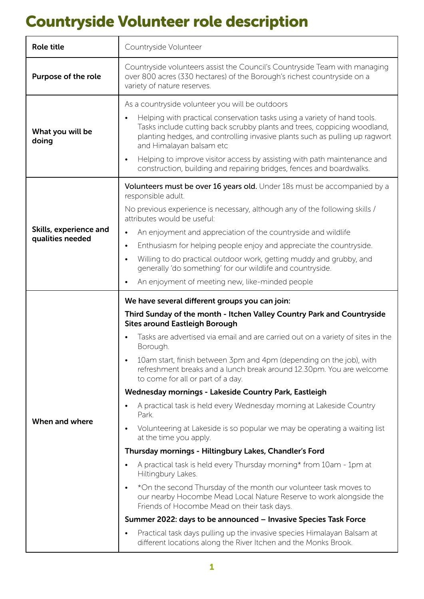# Countryside Volunteer role description

| <b>Role title</b>                          | Countryside Volunteer                                                                                                                                                                                                                                                                                                                                                                                                                                                                                                                                                                                                                                                                                                                                                                                                                                                                                                                                                                                                                                                                                                                                                                                                                                                                                         |
|--------------------------------------------|---------------------------------------------------------------------------------------------------------------------------------------------------------------------------------------------------------------------------------------------------------------------------------------------------------------------------------------------------------------------------------------------------------------------------------------------------------------------------------------------------------------------------------------------------------------------------------------------------------------------------------------------------------------------------------------------------------------------------------------------------------------------------------------------------------------------------------------------------------------------------------------------------------------------------------------------------------------------------------------------------------------------------------------------------------------------------------------------------------------------------------------------------------------------------------------------------------------------------------------------------------------------------------------------------------------|
| Purpose of the role                        | Countryside volunteers assist the Council's Countryside Team with managing<br>over 800 acres (330 hectares) of the Borough's richest countryside on a<br>variety of nature reserves.                                                                                                                                                                                                                                                                                                                                                                                                                                                                                                                                                                                                                                                                                                                                                                                                                                                                                                                                                                                                                                                                                                                          |
| What you will be<br>doing                  | As a countryside volunteer you will be outdoors<br>Helping with practical conservation tasks using a variety of hand tools.<br>$\bullet$<br>Tasks include cutting back scrubby plants and trees, coppicing woodland,<br>planting hedges, and controlling invasive plants such as pulling up ragwort<br>and Himalayan balsam etc<br>Helping to improve visitor access by assisting with path maintenance and<br>$\bullet$<br>construction, building and repairing bridges, fences and boardwalks.                                                                                                                                                                                                                                                                                                                                                                                                                                                                                                                                                                                                                                                                                                                                                                                                              |
| Skills, experience and<br>qualities needed | Volunteers must be over 16 years old. Under 18s must be accompanied by a<br>responsible adult.<br>No previous experience is necessary, although any of the following skills /<br>attributes would be useful:<br>An enjoyment and appreciation of the countryside and wildlife<br>$\bullet$<br>Enthusiasm for helping people enjoy and appreciate the countryside.<br>$\bullet$<br>Willing to do practical outdoor work, getting muddy and grubby, and<br>$\bullet$<br>generally 'do something' for our wildlife and countryside.<br>An enjoyment of meeting new, like-minded people                                                                                                                                                                                                                                                                                                                                                                                                                                                                                                                                                                                                                                                                                                                           |
| When and where                             | We have several different groups you can join:<br>Third Sunday of the month - Itchen Valley Country Park and Countryside<br><b>Sites around Eastleigh Borough</b><br>Tasks are advertised via email and are carried out on a variety of sites in the<br>Borough.<br>10am start, finish between 3pm and 4pm (depending on the job), with<br>refreshment breaks and a lunch break around 12.30pm. You are welcome<br>to come for all or part of a day.<br>Wednesday mornings - Lakeside Country Park, Eastleigh<br>A practical task is held every Wednesday morning at Lakeside Country<br>Park.<br>Volunteering at Lakeside is so popular we may be operating a waiting list<br>$\bullet$<br>at the time you apply.<br>Thursday mornings - Hiltingbury Lakes, Chandler's Ford<br>A practical task is held every Thursday morning* from 10am - 1pm at<br>Hiltingbury Lakes.<br>*On the second Thursday of the month our volunteer task moves to<br>$\bullet$<br>our nearby Hocombe Mead Local Nature Reserve to work alongside the<br>Friends of Hocombe Mead on their task days.<br>Summer 2022: days to be announced – Invasive Species Task Force<br>Practical task days pulling up the invasive species Himalayan Balsam at<br>$\bullet$<br>different locations along the River Itchen and the Monks Brook. |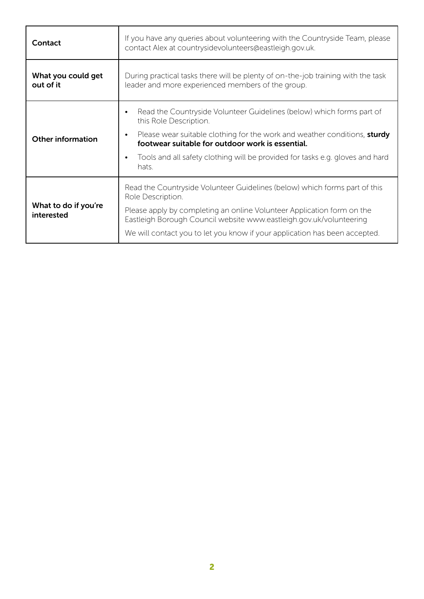| Contact                            | If you have any queries about volunteering with the Countryside Team, please<br>contact Alex at countrysidevolunteers@eastleigh.gov.uk.                                                                                                                                                                                        |
|------------------------------------|--------------------------------------------------------------------------------------------------------------------------------------------------------------------------------------------------------------------------------------------------------------------------------------------------------------------------------|
| What you could get<br>out of it    | During practical tasks there will be plenty of on-the-job training with the task<br>leader and more experienced members of the group.                                                                                                                                                                                          |
| <b>Other information</b>           | Read the Countryside Volunteer Guidelines (below) which forms part of<br>this Role Description.<br>Please wear suitable clothing for the work and weather conditions, sturdy<br>footwear suitable for outdoor work is essential.<br>Tools and all safety clothing will be provided for tasks e.g. gloves and hard<br>hats.     |
| What to do if you're<br>interested | Read the Countryside Volunteer Guidelines (below) which forms part of this<br>Role Description.<br>Please apply by completing an online Volunteer Application form on the<br>Eastleigh Borough Council website www.eastleigh.gov.uk/volunteering<br>We will contact you to let you know if your application has been accepted. |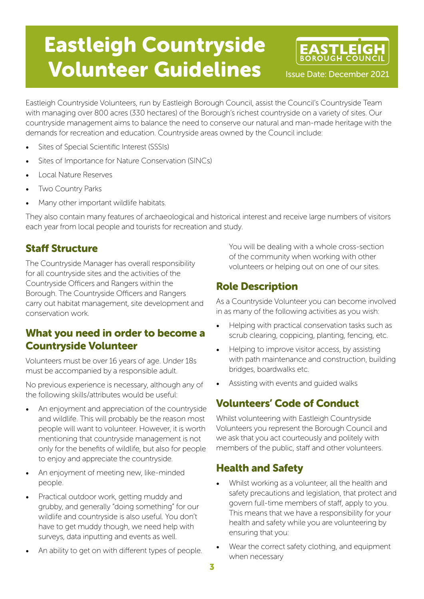# Eastleigh Countryside Volunteer Guidelines



Eastleigh Countryside Volunteers, run by Eastleigh Borough Council, assist the Council's Countryside Team with managing over 800 acres (330 hectares) of the Borough's richest countryside on a variety of sites. Our countryside management aims to balance the need to conserve our natural and man-made heritage with the demands for recreation and education. Countryside areas owned by the Council include:

- Sites of Special Scientific Interest (SSSIs)
- Sites of Importance for Nature Conservation (SINCs)
- Local Nature Reserves
- **Two Country Parks**
- Many other important wildlife habitats.

They also contain many features of archaeological and historical interest and receive large numbers of visitors each year from local people and tourists for recreation and study.

#### Staff Structure

The Countryside Manager has overall responsibility for all countryside sites and the activities of the Countryside Officers and Rangers within the Borough. The Countryside Officers and Rangers carry out habitat management, site development and conservation work.

#### What you need in order to become a Countryside Volunteer

Volunteers must be over 16 years of age. Under 18s must be accompanied by a responsible adult.

No previous experience is necessary, although any of the following skills/attributes would be useful:

- An enjoyment and appreciation of the countryside and wildlife. This will probably be the reason most people will want to volunteer. However, it is worth mentioning that countryside management is not only for the benefits of wildlife, but also for people to enjoy and appreciate the countryside.
- An enjoyment of meeting new, like-minded people.
- Practical outdoor work, getting muddy and grubby, and generally "doing something" for our wildlife and countryside is also useful. You don't have to get muddy though, we need help with surveys, data inputting and events as well.
- An ability to get on with different types of people.

You will be dealing with a whole cross-section of the community when working with other volunteers or helping out on one of our sites.

#### Role Description

As a Countryside Volunteer you can become involved in as many of the following activities as you wish:

- Helping with practical conservation tasks such as scrub clearing, coppicing, planting, fencing, etc.
- Helping to improve visitor access, by assisting with path maintenance and construction, building bridges, boardwalks etc.
- Assisting with events and guided walks

# Volunteers' Code of Conduct

Whilst volunteering with Eastleigh Countryside Volunteers you represent the Borough Council and we ask that you act courteously and politely with members of the public, staff and other volunteers.

#### Health and Safety

- Whilst working as a volunteer, all the health and safety precautions and legislation, that protect and govern full-time members of staff, apply to you. This means that we have a responsibility for your health and safety while you are volunteering by ensuring that you:
- Wear the correct safety clothing, and equipment when necessary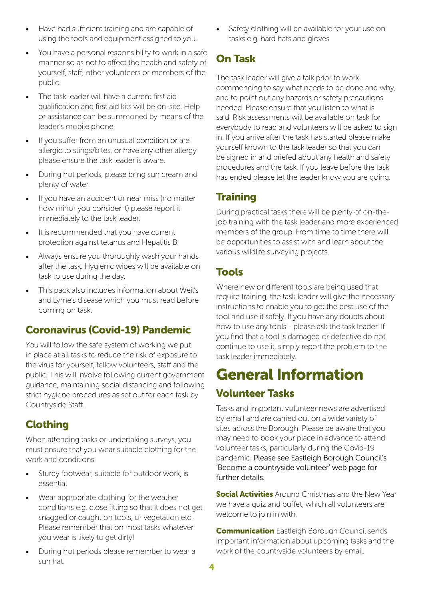- Have had sufficient training and are capable of using the tools and equipment assigned to you.
- You have a personal responsibility to work in a safe manner so as not to affect the health and safety of yourself, staff, other volunteers or members of the public.
- The task leader will have a current first aid qualification and first aid kits will be on-site. Help or assistance can be summoned by means of the leader's mobile phone.
- If you suffer from an unusual condition or are allergic to stings/bites, or have any other allergy please ensure the task leader is aware.
- During hot periods, please bring sun cream and plenty of water.
- If you have an accident or near miss (no matter how minor you consider it) please report it immediately to the task leader.
- It is recommended that you have current protection against tetanus and Hepatitis B.
- Always ensure you thoroughly wash your hands after the task. Hygienic wipes will be available on task to use during the day.
- This pack also includes information about Weil's and Lyme's disease which you must read before coming on task.

#### Coronavirus (Covid-19) Pandemic

You will follow the safe system of working we put in place at all tasks to reduce the risk of exposure to the virus for yourself, fellow volunteers, staff and the public. This will involve following current government guidance, maintaining social distancing and following strict hygiene procedures as set out for each task by Countryside Staff.

#### Clothing

When attending tasks or undertaking surveys, you must ensure that you wear suitable clothing for the work and conditions:

- Sturdy footwear, suitable for outdoor work, is essential
- Wear appropriate clothing for the weather conditions e.g. close fitting so that it does not get snagged or caught on tools, or vegetation etc. Please remember that on most tasks whatever you wear is likely to get dirty!
- During hot periods please remember to wear a sun hat.

Safety clothing will be available for your use on tasks e.g. hard hats and gloves

# On Task

The task leader will give a talk prior to work commencing to say what needs to be done and why, and to point out any hazards or safety precautions needed. Please ensure that you listen to what is said. Risk assessments will be available on task for everybody to read and volunteers will be asked to sign in. If you arrive after the task has started please make yourself known to the task leader so that you can be signed in and briefed about any health and safety procedures and the task. If you leave before the task has ended please let the leader know you are going.

#### **Training**

During practical tasks there will be plenty of on-thejob training with the task leader and more experienced members of the group. From time to time there will be opportunities to assist with and learn about the various wildlife surveying projects.

#### Tools

Where new or different tools are being used that require training, the task leader will give the necessary instructions to enable you to get the best use of the tool and use it safely. If you have any doubts about how to use any tools - please ask the task leader. If you find that a tool is damaged or defective do not continue to use it, simply report the problem to the task leader immediately.

# General Information Volunteer Tasks

Tasks and important volunteer news are advertised by email and are carried out on a wide variety of sites across the Borough. Please be aware that you may need to book your place in advance to attend volunteer tasks, particularly during the Covid-19 pandemic. [Please see Eastleigh Borough Council's](https://www.eastleigh.gov.uk/country-parks-and-open-spaces/itchen-valley-country-park/wildlife-habitat-and-heritage/become-a-countryside-volunteer)  ['Become a countryside volunteer' web page for](https://www.eastleigh.gov.uk/country-parks-and-open-spaces/itchen-valley-country-park/wildlife-habitat-and-heritage/become-a-countryside-volunteer)  [further details.](https://www.eastleigh.gov.uk/country-parks-and-open-spaces/itchen-valley-country-park/wildlife-habitat-and-heritage/become-a-countryside-volunteer) 

**Social Activities** Around Christmas and the New Year we have a quiz and buffet, which all volunteers are welcome to join in with.

**Communication** Eastleigh Borough Council sends important information about upcoming tasks and the work of the countryside volunteers by email.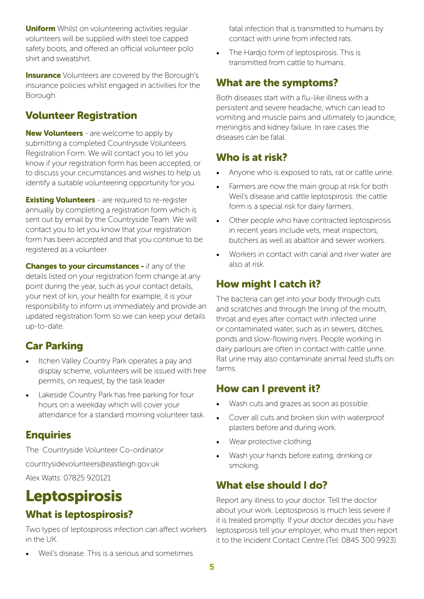**Uniform** Whilst on volunteering activities regular volunteers will be supplied with steel toe capped safety boots, and offered an official volunteer polo shirt and sweatshirt.

**Insurance** Volunteers are covered by the Borough's insurance policies whilst engaged in activities for the Borough.

## Volunteer Registration

**New Volunteers** - are welcome to apply by submitting a completed Countryside Volunteers Registration Form. We will contact you to let you know if your registration form has been accepted, or to discuss your circumstances and wishes to help us identify a suitable volunteering opportunity for you.

**Existing Volunteers** - are required to re-register annually by completing a registration form which is sent out by email by the Countryside Team. We will contact you to let you know that your registration form has been accepted and that you continue to be registered as a volunteer.

**Changes to your circumstances - if any of the** details listed on your registration form change at any point during the year, such as your contact details, your next of kin, your health for example, it is your responsibility to inform us immediately and provide an updated registration form so we can keep your details up-to-date.

# Car Parking

- Itchen Valley Country Park operates a pay and display scheme, volunteers will be issued with free permits, on request, by the task leader
- Lakeside Country Park has free parking for four hours on a weekday which will cover your attendance for a standard morning volunteer task.

#### Enquiries

The Countryside Volunteer Co-ordinator

countrysidevolunteers@eastleigh.gov.uk

Alex Watts: 07825 920121

# Leptospirosis What is leptospirosis?

Two types of leptospirosis infection can affect workers in the UK.

- fatal infection that is transmitted to humans by contact with urine from infected rats.
- The Hardjo form of leptospirosis. This is transmitted from cattle to humans.

## What are the symptoms?

Both diseases start with a flu-like illness with a persistent and severe headache, which can lead to vomiting and muscle pains and ultimately to jaundice, meningitis and kidney failure. In rare cases the diseases can be fatal.

## Who is at risk?

- Anyone who is exposed to rats, rat or cattle urine.
- Farmers are now the main group at risk for both Weil's disease and cattle leptospirosis: the cattle form is a special risk for dairy farmers.
- Other people who have contracted leptospirosis in recent years include vets, meat inspectors, butchers as well as abattoir and sewer workers.
- Workers in contact with canal and river water are also at risk.

# How might I catch it?

The bacteria can get into your body through cuts and scratches and through the lining of the mouth, throat and eyes after contact with infected urine or contaminated water, such as in sewers, ditches, ponds and slow-flowing rivers. People working in dairy parlours are often in contact with cattle urine. Rat urine may also contaminate animal feed stuffs on farms.

#### How can I prevent it?

- Wash cuts and grazes as soon as possible.
- Cover all cuts and broken skin with waterproof plasters before and during work.
- Wear protective clothing.
- Wash your hands before eating, drinking or smoking.

# What else should I do?

Report any illness to your doctor. Tell the doctor about your work. Leptospirosis is much less severe if it is treated promptly. If your doctor decides you have leptospirosis tell your employer, who must then report it to the Incident Contact Centre (Tel: 0845 300 9923).

Weil's disease. This is a serious and sometimes